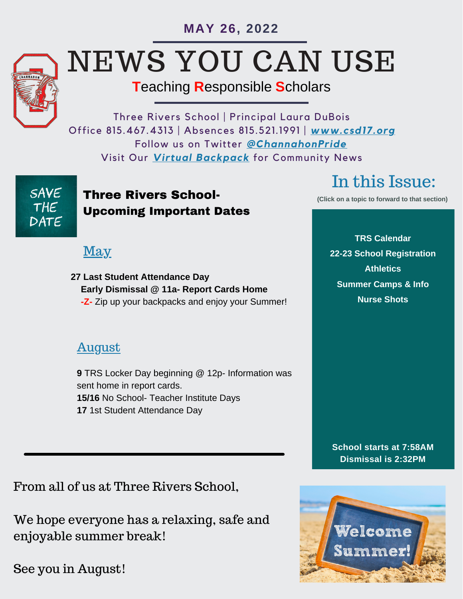**MAY 26, 2022**



# NEWS YOU CAN USE

# **T**eaching **R**esponsible **S**cholars

Three Rivers School | Principal Laura DuBois Office 815.467.4313 | Absences 815.521.1991 | *<www.csd17.org>* Follow us on Twitter *[@ChannahonPride](https://twitter.com/ChannahonPride)* Visit Our *[Virtual Backpack](http://www.csd17.org/index.php/community/community-organizations)* for Community News

## SAVE THE DATE

### **Three Rivers School-** *Click on a topic to forward to that section***)** Upcoming Important Dates

# May

**27 Last Student Attendance Day Early Dismissal @ 11a- Report Cards Home -Z-** Zip up your backpacks and enjoy your Summer!

# August

**9** TRS Locker Day beginning @ 12p- Information was sent home in report cards. **15/16** No School- Teacher Institute Days **17** 1st Student Attendance Day

In this Issue:

**TRS Calendar [22-23 School Registration](#page-1-0) [Athletics](#page-1-0) [Summer Camps & Info](#page-1-0) [Nurse Shots](#page-2-0)**

**School starts at 7:58AM Dismissal is 2:32PM**



From all of us at Three Rivers School,

We hope everyone has a relaxing, safe and enjoyable summer break!

See you in August!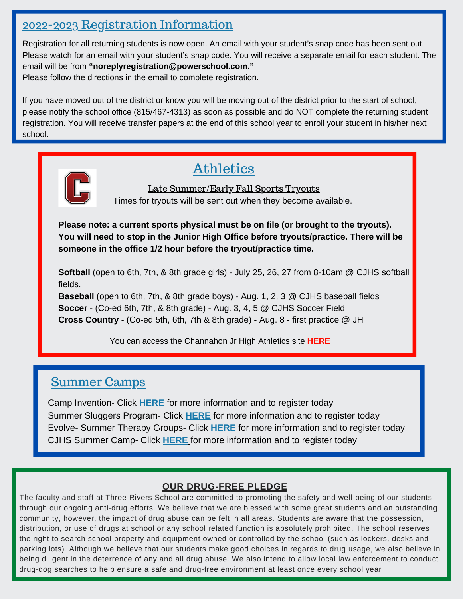#### <span id="page-1-0"></span>2022-2023 Registration Information

Registration for all returning students is now open. An email with your student's snap code has been sent out. Please watch for an email with your student's snap code. You will receive a separate email for each student. The email will be from **"noreplyregistration@powerschool.com."** Please follow the directions in the email to complete registration.

If you have moved out of the district or know you will be moving out of the district prior to the start of school, please notify the school office (815/467-4313) as soon as possible and do NOT complete the returning student registration. You will receive transfer papers at the end of this school year to enroll your student in his/her next school.



## Athletics

Late Summer/Early Fall Sports Tryouts Times for tryouts will be sent out when they become available.

**Please note: a current sports physical must be on file (or brought to the tryouts). You will need to stop in the Junior High Office before tryouts/practice. There will be someone in the office 1/2 hour before the tryout/practice time.**

**Softball** (open to 6th, 7th, & 8th grade girls) - July 25, 26, 27 from 8-10am @ CJHS softball fields.

**Baseball** (open to 6th, 7th, & 8th grade boys) - Aug. 1, 2, 3 @ CJHS baseball fields **Soccer** - (Co-ed 6th, 7th, & 8th grade) - Aug. 3, 4, 5 @ CJHS Soccer Field **Cross Country** - (Co-ed 5th, 6th, 7th & 8th grade) - Aug. 8 - first practice @ JH

You can access the Channahon Jr High Athletics site **[HERE](http://www.csd17.org/index.php/schools/channahon-jr-high/athletics)**

#### Summer Camps

Camp Invention- Click **[HERE](https://invent-web.ungerboeck.com/programsearch/moreinfo.aspx?event=38267)** for more information and to register today Summer Sluggers Program- Click **[HERE](https://summerslugger.com/)** for more information and to register today Evolve- Summer Therapy Groups- Click **[HERE](https://drive.google.com/file/d/11knZ-ekrnNk-z99L1tsBzsR2zaFW7hdy/view?usp=sharing)** for more information and to register today CJHS Summer Camp- Click **[HERE](https://docs.google.com/document/d/1YImd-5oy4lTnLwenD8s0DSmxIaF0qyfMsOK3HuRBRE4/edit?usp=sharing)** for more information and to register today

#### **OUR DRUG-FREE PLEDGE**

The faculty and staff at Three Rivers School are committed to promoting the safety and well-being of our students through our ongoing anti-drug efforts. We believe that we are blessed with some great students and an outstanding community, however, the impact of drug abuse can be felt in all areas. Students are aware that the possession, distribution, or use of drugs at school or any school related function is absolutely prohibited. The school reserves the right to search school property and equipment owned or controlled by the school (such as lockers, desks and parking lots). Although we believe that our students make good choices in regards to drug usage, we also believe in being diligent in the deterrence of any and all drug abuse. We also intend to allow local law enforcement to conduct drug-dog searches to help ensure a safe and drug-free environment at least once every school year